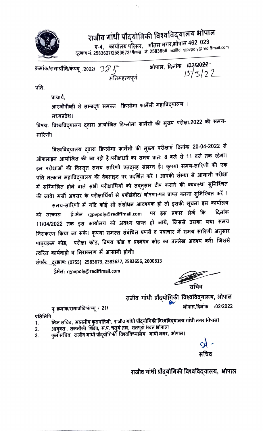

राजीव गांधी प्रौद्योगिकी विश्वविद्यालय भोपाल<br>पु.4, कार्यालय परिसर, गौतम नगर,भोपाल 462 023<br>ने अर्कटनसम्बद्धाःस्टब्स्टर, गौतम नगर,भोपाल 462 023 वरभाष न. 2583627/2583673/ फैक्स न. 2583656 mailid: rgpvpoly@rediffmail.com

.<br>भोपाल, दिनांक *।*02/2<del>022</del> क्रमांक/रागाप्रौवि/कंप्यू <sub>/2022/ ソク*ा*<br>— अतिमहत्वपूर्ण</sub>

प्रति,

प्राचार्य,<br>आरजीपीव्ही से सम्बद्**ध समस्त** डिप्लोमा फार्मेसी महाविद्**यालय** । मध्यप्रदेश।

तिषयः विश्वविद्**यालय द्**वारा आयोजित डिप्लोमा फार्मेसी की मुख्य परीक्षा.2022 की समय-सारिणी।

विश्वविद्यालय द्वारा डिप्लोमा फार्मेसी की मुख्य परीक्षाएं दिनांक 20-04-2022 से आँफलाइन आयोजित की जा रही है।परीक्षाओं का समय प्रातः 8 बजे से 11 बजे तक रहेगा। इन परीक्षाओं की विस्तृत समय सारिणी एतद्सह संलग्न है। कृपया समय-सारिणी की एक पर स्वरूप महाविद्यालय की वेबसाइट पर प्रदर्शित करें । आपकी संस्था से आगामी परीक्षा ्याः<br>में सम्मिलित होने वाले सभी परीक्षार्थियों को तद्नुसार टीप कराने की व्यवस्था सुनिश्चित की जावे। मर्सी अवसर के परीक्षार्थियों से एफीडेवीट/ घोषणा-पत्र प्राप्त करना सुनिश्चित करें ।

समय-सारिणी में यदि कोई भी संशोधन आवश्यक हो तो इसकी सूचना इस कार्यालय को तत्काल ई-मेल rgpvpoly@rediffmail.com पर इस प्रकार भेजें कि दिनांक<br>11/04/2022 तक इस कार्यालय को अवश्य प्राप्त हो जाये, जिससे उसका यथा समय दिनांक को तत्काल निराकरण किया जा सके। कृपया समस्त संबंधित प्रपत्रों व पत्राचार में समय सारिणी अनुसार पाठ्यक्रम कोड, परीक्षा कोड, विषय कोड व प्रश्नपत्र कोड का उल्लेख अवश्य करें। जिससे त्वरित कार्यवाही व निराकरण में आसानी होगी।

संपर्कः दूरभाषः (0755) 2583673, 2583627, 2583656, 2600813

ईमेल: rgpvpoly@rediffmail.com

राजीव गांधी प्रौद्योगिकी विश्वविद्यालय, भोपाल<br>12/2022 - क्रमांक/रागाप्रौवि/कंप्यू / 21/

प्रतिलिपि-

- 1.
- 2.
- ानज सायव, माननाव कुलनाराजा, राजाब गांवा अल्पान मार्गराज्यस्य गांवा<br>आयुक्त , तकनीकी शिक्षा, म.प्र. चतुर्थ तल, सतपुडा भवन भोपाल।<br>कुल सचिव, राजीव गांधी प्रौद्योगिकी विश्वविध्यालय गांधी नगर, भोपाल। 3.

राजीव गांधी प्रौदयोगिकी विश्वविद्यालय, भोपाल